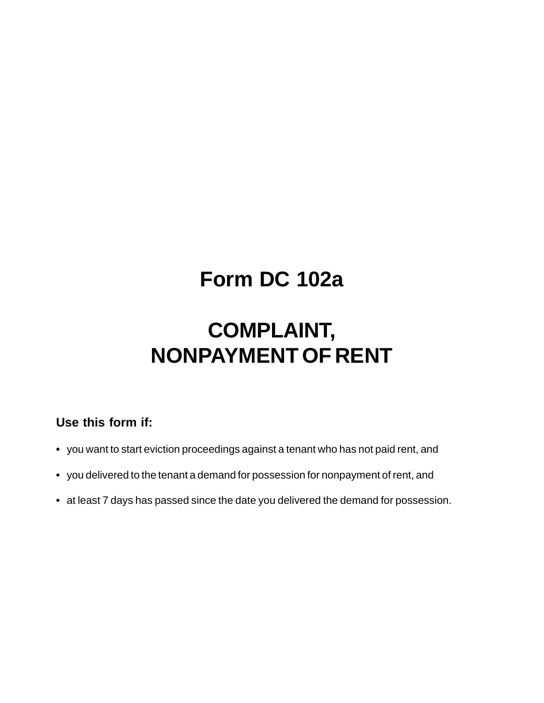## **Form DC 102a**

# **COMPLAINT, NONPAYMENT OF RENT**

## **Use this form if:**

- **•** you want to start eviction proceedings against a tenant who has not paid rent, and
- **•** you delivered to the tenant a demand for possession for nonpayment of rent, and
- **•** at least 7 days has passed since the date you delivered the demand for possession.